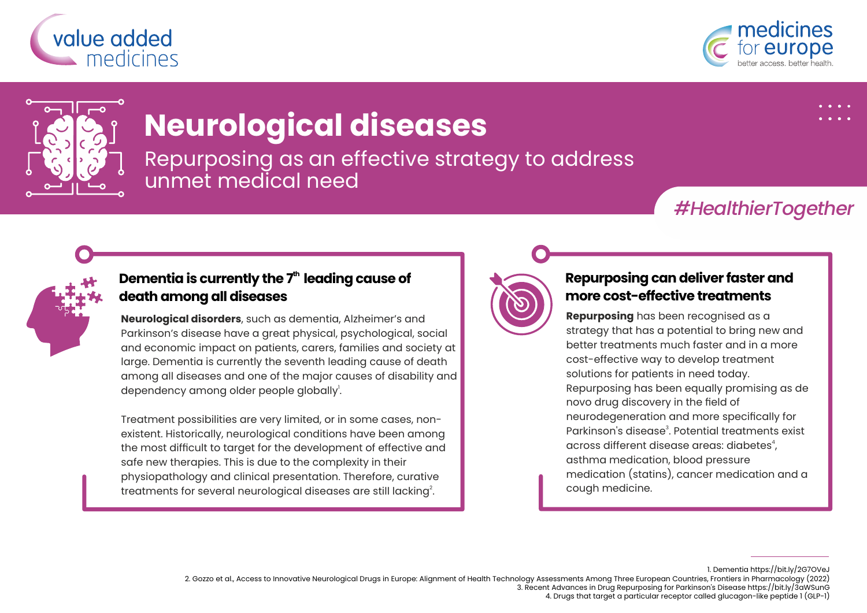





# **Neurological diseases**

Repurposing as an effective strategy to address unmet medical need

## *#HealthierTogether*



### **th Dementia is currently the 7 leading cause of death among all diseases**

**Neurological disorders**, such as dementia, Alzheimer's and Parkinson's disease have a great physical, psychological, social and economic impact on patients, carers, families and society at large. Dementia is currently the seventh leading cause of death among all diseases and one of the major causes of disability and dependency among older people globally<sup>1</sup>.

Treatment possibilities are very limited, or in some cases, nonexistent. Historically, neurological conditions have been among the most difficult to target for the development of effective and safe new therapies. This is due to the complexity in their physiopathology and clinical presentation. Therefore, curative treatments for several neurological diseases are still lacking $^{\rm 2}$ .



#### **Repurposing can deliver faster and more cost-effective treatments**

**Repurposing** has been recognised as a strategy that has a potential to bring new and better treatments much faster and in a more cost-effective way to develop treatment solutions for patients in need today. Repurposing has been equally promising as de novo drug discovery in the field of neurodegeneration and more specifically for Parkinson's disease<sup>3</sup>. Potential treatments exist across different disease areas: diabetes<sup>4</sup>. asthma medication, blood pressure medication (statins), cancer medication and a cough medicine.

1. Dementia https://bit.ly/2G7OVeJ

2. Gozzo et al., Access to Innovative Neurological Drugs in Europe: Alignment of Health Technology Assessments Among Three European Countries, Frontiers in Pharmacology (2022)

3. Recent Advances in Drug Repurposing for Parkinson's Disease https://bit.ly/3aWSunG

4. Drugs that target a particular receptor called glucagon-like peptide 1 (GLP-1)